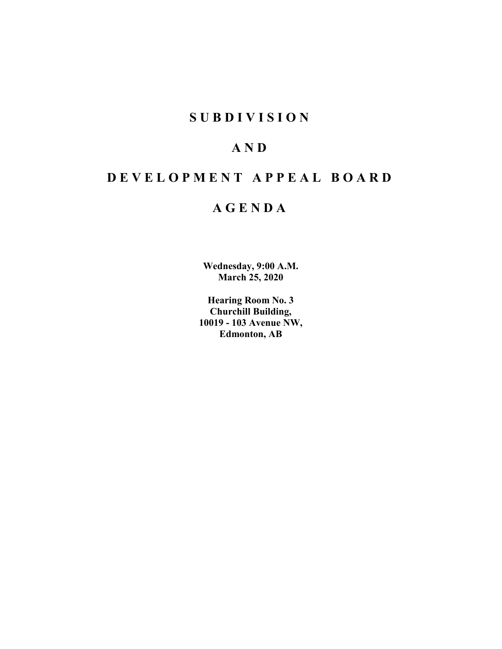# **SUBDIVISION**

# **AND**

# **DEVELOPMENT APPEAL BOARD**

# **AGENDA**

**Wednesday, 9:00 A.M. March 25, 2020**

**Hearing Room No. 3 Churchill Building, 10019 - 103 Avenue NW, Edmonton, AB**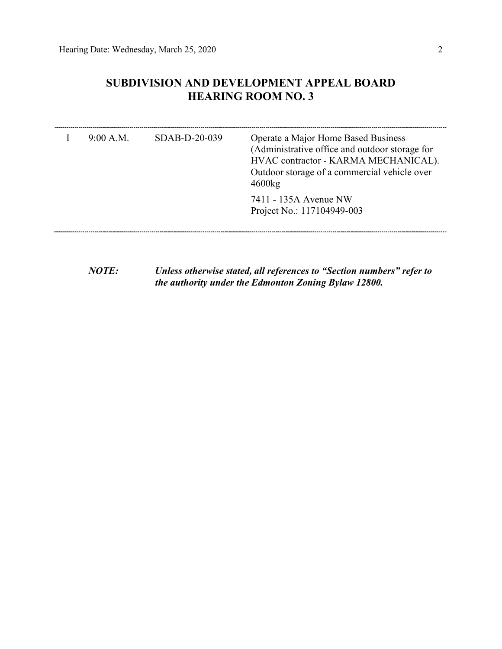## **SUBDIVISION AND DEVELOPMENT APPEAL BOARD HEARING ROOM NO. 3**

| 9:00 A.M. | $SDAB-D-20-039$ | Operate a Major Home Based Business<br>(Administrative office and outdoor storage for<br>HVAC contractor - KARMA MECHANICAL).<br>Outdoor storage of a commercial vehicle over<br>4600kg |
|-----------|-----------------|-----------------------------------------------------------------------------------------------------------------------------------------------------------------------------------------|
|           |                 | 7411 - 135A Avenue NW<br>Project No.: 117104949-003                                                                                                                                     |

*NOTE: Unless otherwise stated, all references to "Section numbers" refer to the authority under the Edmonton Zoning Bylaw 12800.*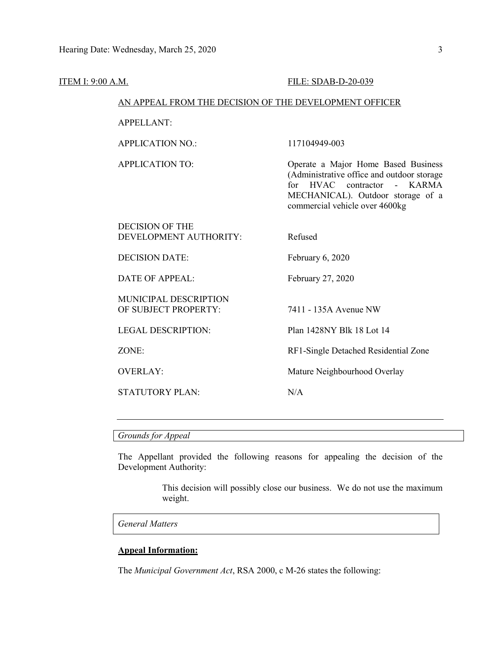#### ITEM I: 9:00 A.M. FILE: SDAB-D-20-039

#### AN APPEAL FROM THE DECISION OF THE DEVELOPMENT OFFICER

#### APPELLANT:

APPLICATION NO.: 117104949-003

APPLICATION TO: Operate a Major Home Based Business (Administrative office and outdoor storage for HVAC contractor - KARMA MECHANICAL). Outdoor storage of a commercial vehicle over 4600kg

| DECISION OF THE        |         |
|------------------------|---------|
| DEVELOPMENT AUTHORITY: | Refused |

DECISION DATE: February 6, 2020

DATE OF APPEAL: February 27, 2020

MUNICIPAL DESCRIPTION OF SUBJECT PROPERTY: 7411 - 135A Avenue NW

STATUTORY PLAN: N/A

LEGAL DESCRIPTION: Plan 1428NY Blk 18 Lot 14

ZONE: RF1-Single Detached Residential Zone

OVERLAY: Mature Neighbourhood Overlay

*Grounds for Appeal*

The Appellant provided the following reasons for appealing the decision of the Development Authority:

> This decision will possibly close our business. We do not use the maximum weight.

*General Matters*

#### **Appeal Information:**

The *Municipal Government Act*, RSA 2000, c M-26 states the following: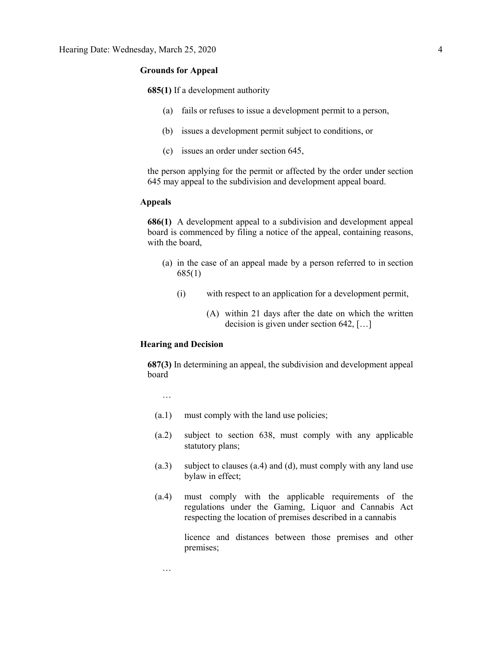#### **Grounds for Appeal**

**685(1)** If a development authority

- (a) fails or refuses to issue a development permit to a person,
- (b) issues a development permit subject to conditions, or
- (c) issues an order under section 645,

the person applying for the permit or affected by the order under section 645 may appeal to the subdivision and development appeal board.

#### **Appeals**

**686(1)** A development appeal to a subdivision and development appeal board is commenced by filing a notice of the appeal, containing reasons, with the board,

- (a) in the case of an appeal made by a person referred to in section 685(1)
	- (i) with respect to an application for a development permit,
		- (A) within 21 days after the date on which the written decision is given under section 642, […]

#### **Hearing and Decision**

**687(3)** In determining an appeal, the subdivision and development appeal board

…

- (a.1) must comply with the land use policies;
- (a.2) subject to section 638, must comply with any applicable statutory plans;
- (a.3) subject to clauses (a.4) and (d), must comply with any land use bylaw in effect;
- (a.4) must comply with the applicable requirements of the regulations under the Gaming, Liquor and Cannabis Act respecting the location of premises described in a cannabis

licence and distances between those premises and other premises;

…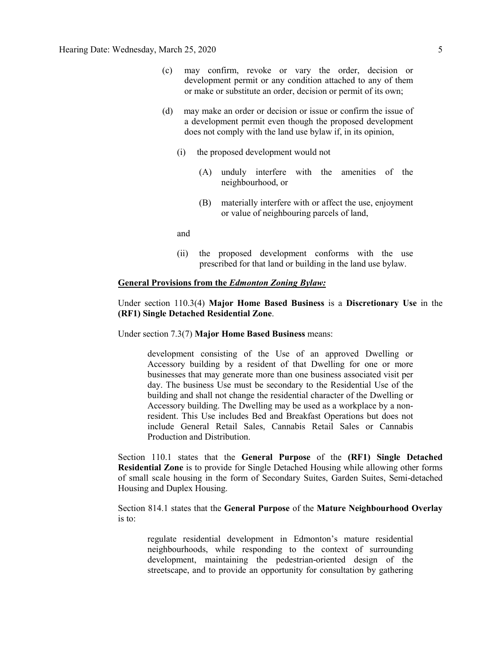- (c) may confirm, revoke or vary the order, decision or development permit or any condition attached to any of them or make or substitute an order, decision or permit of its own;
- (d) may make an order or decision or issue or confirm the issue of a development permit even though the proposed development does not comply with the land use bylaw if, in its opinion,
	- (i) the proposed development would not
		- (A) unduly interfere with the amenities of the neighbourhood, or
		- (B) materially interfere with or affect the use, enjoyment or value of neighbouring parcels of land,

and

(ii) the proposed development conforms with the use prescribed for that land or building in the land use bylaw.

#### **General Provisions from the** *Edmonton Zoning Bylaw:*

Under section 110.3(4) **Major Home Based Business** is a **Discretionary Use** in the **(RF1) Single Detached Residential Zone**.

Under section 7.3(7) **Major Home Based Business** means:

development consisting of the Use of an approved Dwelling or Accessory building by a resident of that Dwelling for one or more businesses that may generate more than one business associated visit per day. The business Use must be secondary to the Residential Use of the building and shall not change the residential character of the Dwelling or Accessory building. The Dwelling may be used as a workplace by a nonresident. This Use includes Bed and Breakfast Operations but does not include General Retail Sales, Cannabis Retail Sales or Cannabis Production and Distribution.

Section 110.1 states that the **General Purpose** of the **(RF1) Single Detached Residential Zone** is to provide for Single Detached Housing while allowing other forms of small scale housing in the form of Secondary Suites, Garden Suites, Semi-detached Housing and Duplex Housing.

Section 814.1 states that the **General Purpose** of the **Mature Neighbourhood Overlay** is to:

regulate residential development in Edmonton's mature residential neighbourhoods, while responding to the context of surrounding development, maintaining the pedestrian-oriented design of the streetscape, and to provide an opportunity for consultation by gathering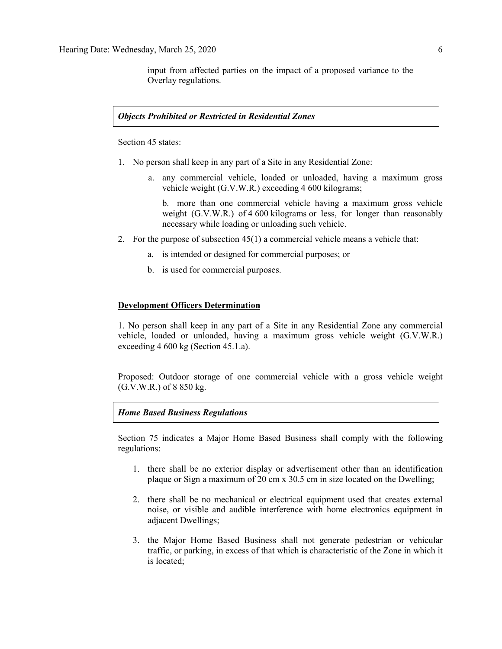input from affected parties on the impact of a proposed variance to the Overlay regulations.

#### *Objects Prohibited or Restricted in Residential Zones*

Section 45 states:

- 1. No person shall keep in any part of a Site in any Residential Zone:
	- a. any commercial vehicle, loaded or unloaded, having a maximum gross vehicle weight (G.V.W.R.) exceeding 4 600 [kilograms;](javascript:void(0);)

b. more than one commercial vehicle having a maximum gross vehicle weight (G.V.W.R.) of 4 600 [kilograms](javascript:void(0);) or less, for longer than reasonably necessary while loading or unloading such vehicle.

- 2. For the purpose of subsection 45(1) a commercial vehicle means a vehicle that:
	- a. is intended or designed for commercial purposes; or
	- b. is used for commercial purposes.

#### **Development Officers Determination**

1. No person shall keep in any part of a Site in any Residential Zone any commercial vehicle, loaded or unloaded, having a maximum gross vehicle weight (G.V.W.R.) exceeding 4 600 kg (Section 45.1.a).

Proposed: Outdoor storage of one commercial vehicle with a gross vehicle weight (G.V.W.R.) of 8 850 kg.

#### *Home Based Business Regulations*

Section 75 indicates a Major Home Based Business shall comply with the following regulations:

- 1. there shall be no exterior display or advertisement other than an identification plaque or Sign a maximum of 20 cm x 30.5 cm in size located on the Dwelling;
- 2. there shall be no mechanical or electrical equipment used that creates external noise, or visible and audible interference with home electronics equipment in adjacent Dwellings;
- 3. the Major Home Based Business shall not generate pedestrian or vehicular traffic, or parking, in excess of that which is characteristic of the Zone in which it is located;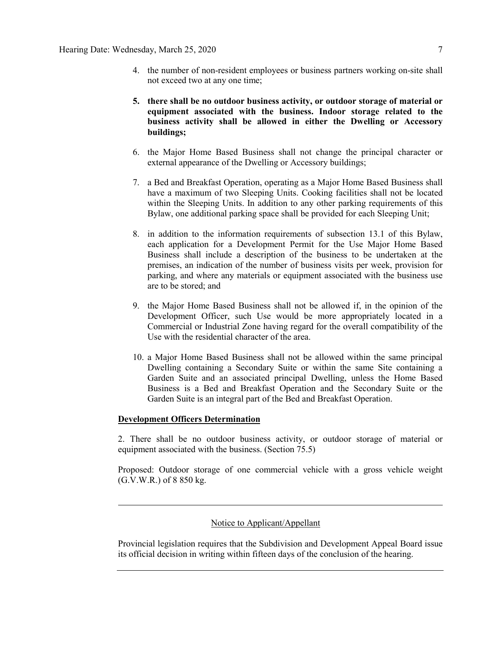- 4. the number of non-resident employees or business partners working on-site shall not exceed two at any one time;
- **5. there shall be no outdoor business activity, or outdoor storage of material or equipment associated with the business. Indoor storage related to the business activity shall be allowed in either the Dwelling or Accessory buildings;**
- 6. the Major Home Based Business shall not change the principal character or external appearance of the Dwelling or Accessory buildings;
- 7. a Bed and Breakfast Operation, operating as a Major Home Based Business shall have a maximum of two Sleeping Units. Cooking facilities shall not be located within the Sleeping Units. In addition to any other parking requirements of this Bylaw, one additional parking space shall be provided for each Sleeping Unit;
- 8. in addition to the information requirements of subsection 13.1 of this Bylaw, each application for a Development Permit for the Use Major Home Based Business shall include a description of the business to be undertaken at the premises, an indication of the number of business visits per week, provision for parking, and where any materials or equipment associated with the business use are to be stored; and
- 9. the Major Home Based Business shall not be allowed if, in the opinion of the Development Officer, such Use would be more appropriately located in a Commercial or Industrial Zone having regard for the overall compatibility of the Use with the residential character of the area.
- 10. a Major Home Based Business shall not be allowed within the same principal Dwelling containing a Secondary Suite or within the same Site containing a Garden Suite and an associated principal Dwelling, unless the Home Based Business is a Bed and Breakfast Operation and the Secondary Suite or the Garden Suite is an integral part of the Bed and Breakfast Operation.

#### **Development Officers Determination**

2. There shall be no outdoor business activity, or outdoor storage of material or equipment associated with the business. (Section 75.5)

Proposed: Outdoor storage of one commercial vehicle with a gross vehicle weight (G.V.W.R.) of 8 850 kg.

### Notice to Applicant/Appellant

Provincial legislation requires that the Subdivision and Development Appeal Board issue its official decision in writing within fifteen days of the conclusion of the hearing.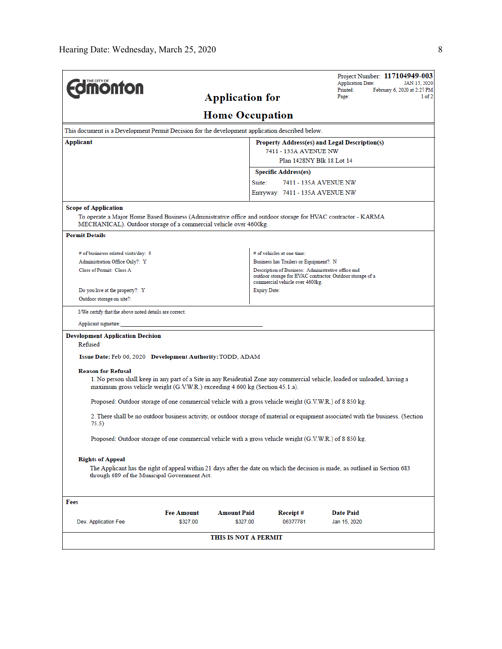| <b><i><u><del>inonton</del></u></i></b>                                                                                                                                                                    | <b>Application for</b>                                                                                                                             |                                        | Project Number: 117104949-003<br><b>Application Date:</b><br>JAN 15, 2020<br>Printed:<br>February 6, 2020 at 2:27 PM |  |  |  |  |  |  |  |  |
|------------------------------------------------------------------------------------------------------------------------------------------------------------------------------------------------------------|----------------------------------------------------------------------------------------------------------------------------------------------------|----------------------------------------|----------------------------------------------------------------------------------------------------------------------|--|--|--|--|--|--|--|--|
|                                                                                                                                                                                                            | Page:<br>$1$ of $2$                                                                                                                                |                                        |                                                                                                                      |  |  |  |  |  |  |  |  |
| <b>Home Occupation</b>                                                                                                                                                                                     |                                                                                                                                                    |                                        |                                                                                                                      |  |  |  |  |  |  |  |  |
| This document is a Development Permit Decision for the development application described below.                                                                                                            |                                                                                                                                                    |                                        |                                                                                                                      |  |  |  |  |  |  |  |  |
| Applicant<br>Property Address(es) and Legal Description(s)                                                                                                                                                 |                                                                                                                                                    |                                        |                                                                                                                      |  |  |  |  |  |  |  |  |
|                                                                                                                                                                                                            |                                                                                                                                                    | 7411 - 135A AVENUE NW                  |                                                                                                                      |  |  |  |  |  |  |  |  |
|                                                                                                                                                                                                            |                                                                                                                                                    | Plan 1428NY Blk 18 Lot 14              |                                                                                                                      |  |  |  |  |  |  |  |  |
|                                                                                                                                                                                                            |                                                                                                                                                    | <b>Specific Address(es)</b>            |                                                                                                                      |  |  |  |  |  |  |  |  |
|                                                                                                                                                                                                            |                                                                                                                                                    | Suite:<br>7411 - 135A AVENUE NW        |                                                                                                                      |  |  |  |  |  |  |  |  |
|                                                                                                                                                                                                            |                                                                                                                                                    | Entryway: 7411 - 135A AVENUE NW        |                                                                                                                      |  |  |  |  |  |  |  |  |
| <b>Scope of Application</b>                                                                                                                                                                                |                                                                                                                                                    |                                        |                                                                                                                      |  |  |  |  |  |  |  |  |
| To operate a Major Home Based Business (Administrative office and outdoor storage for HVAC contractor - KARMA<br>MECHANICAL). Outdoor storage of a commercial vehicle over 4600kg.                         |                                                                                                                                                    |                                        |                                                                                                                      |  |  |  |  |  |  |  |  |
| <b>Permit Details</b>                                                                                                                                                                                      |                                                                                                                                                    |                                        |                                                                                                                      |  |  |  |  |  |  |  |  |
| # of businesss related visits/day: 0                                                                                                                                                                       |                                                                                                                                                    | # of vehicles at one time:             |                                                                                                                      |  |  |  |  |  |  |  |  |
| Administration Office Only?: Y                                                                                                                                                                             |                                                                                                                                                    | Business has Trailers or Equipment?: N |                                                                                                                      |  |  |  |  |  |  |  |  |
| Class of Permit: Class A                                                                                                                                                                                   | Description of Business: Administrative office and<br>outdoor storage for HVAC contractor. Outdoor storage of a<br>commercial vehicle over 4600kg. |                                        |                                                                                                                      |  |  |  |  |  |  |  |  |
| Do you live at the property?: Y                                                                                                                                                                            |                                                                                                                                                    | <b>Expiry Date:</b>                    |                                                                                                                      |  |  |  |  |  |  |  |  |
| Outdoor storage on site?:                                                                                                                                                                                  |                                                                                                                                                    |                                        |                                                                                                                      |  |  |  |  |  |  |  |  |
| I/We certify that the above noted details are correct.                                                                                                                                                     |                                                                                                                                                    |                                        |                                                                                                                      |  |  |  |  |  |  |  |  |
| Applicant signature:                                                                                                                                                                                       |                                                                                                                                                    |                                        |                                                                                                                      |  |  |  |  |  |  |  |  |
| <b>Development Application Decision</b>                                                                                                                                                                    |                                                                                                                                                    |                                        |                                                                                                                      |  |  |  |  |  |  |  |  |
| Refused                                                                                                                                                                                                    |                                                                                                                                                    |                                        |                                                                                                                      |  |  |  |  |  |  |  |  |
| Issue Date: Feb 06, 2020 Development Authority: TODD, ADAM                                                                                                                                                 |                                                                                                                                                    |                                        |                                                                                                                      |  |  |  |  |  |  |  |  |
| <b>Reason for Refusal</b>                                                                                                                                                                                  |                                                                                                                                                    |                                        |                                                                                                                      |  |  |  |  |  |  |  |  |
| 1. No person shall keep in any part of a Site in any Residential Zone any commercial vehicle, loaded or unloaded, having a<br>maximum gross vehicle weight (G.V.W.R.) exceeding 4 600 kg (Section 45.1.a). |                                                                                                                                                    |                                        |                                                                                                                      |  |  |  |  |  |  |  |  |
| Proposed: Outdoor storage of one commercial vehicle with a gross vehicle weight (G.V.W.R.) of 8 850 kg.                                                                                                    |                                                                                                                                                    |                                        |                                                                                                                      |  |  |  |  |  |  |  |  |
| 75.5)                                                                                                                                                                                                      | 2. There shall be no outdoor business activity, or outdoor storage of material or equipment associated with the business. (Section                 |                                        |                                                                                                                      |  |  |  |  |  |  |  |  |
|                                                                                                                                                                                                            | Proposed: Outdoor storage of one commercial vehicle with a gross vehicle weight (G.V.W.R.) of 8 850 kg.                                            |                                        |                                                                                                                      |  |  |  |  |  |  |  |  |
| <b>Rights of Appeal</b><br>The Applicant has the right of appeal within 21 days after the date on which the decision is made, as outlined in Section 683<br>through 689 of the Municipal Government Act.   |                                                                                                                                                    |                                        |                                                                                                                      |  |  |  |  |  |  |  |  |
| Fees                                                                                                                                                                                                       |                                                                                                                                                    |                                        |                                                                                                                      |  |  |  |  |  |  |  |  |
| <b>Fee Amount</b>                                                                                                                                                                                          | <b>Amount Paid</b>                                                                                                                                 | Receipt#                               | <b>Date Paid</b>                                                                                                     |  |  |  |  |  |  |  |  |
| \$327.00<br>Dev. Application Fee                                                                                                                                                                           | \$327.00                                                                                                                                           | 06377781                               | Jan 15, 2020                                                                                                         |  |  |  |  |  |  |  |  |
| THIS IS NOT A PERMIT                                                                                                                                                                                       |                                                                                                                                                    |                                        |                                                                                                                      |  |  |  |  |  |  |  |  |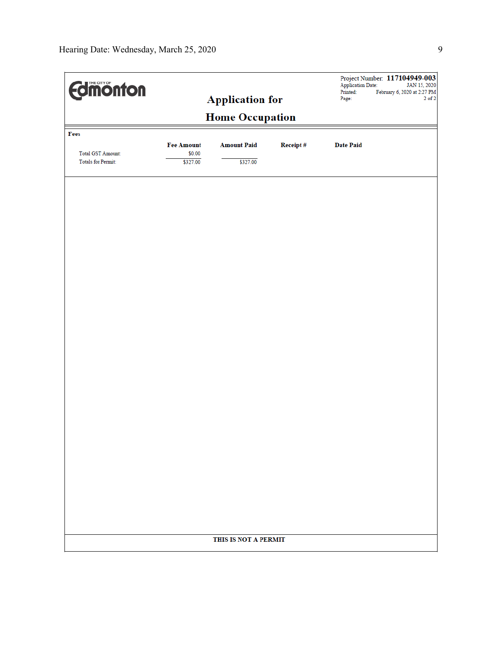| <b>Edimonton</b>         |                        |                    |          | <b>Application Date:</b><br>Printed: | Project Number: 117104949-003<br>JAN 15, 2020<br>February 6, 2020 at 2:27 PM |  |  |  |  |  |
|--------------------------|------------------------|--------------------|----------|--------------------------------------|------------------------------------------------------------------------------|--|--|--|--|--|
|                          | <b>Application for</b> |                    |          | Page:                                | $2$ of $2\,$                                                                 |  |  |  |  |  |
| <b>Home Occupation</b>   |                        |                    |          |                                      |                                                                              |  |  |  |  |  |
| Fees                     | <b>Fee Amount</b>      | <b>Amount Paid</b> | Receipt# | <b>Date Paid</b>                     |                                                                              |  |  |  |  |  |
| <b>Total GST Amount:</b> | \$0.00                 |                    |          |                                      |                                                                              |  |  |  |  |  |
| Totals for Permit:       | \$327.00               | \$327.00           |          |                                      |                                                                              |  |  |  |  |  |
|                          |                        |                    |          |                                      |                                                                              |  |  |  |  |  |
|                          |                        |                    |          |                                      |                                                                              |  |  |  |  |  |
|                          |                        |                    |          |                                      |                                                                              |  |  |  |  |  |
|                          |                        |                    |          |                                      |                                                                              |  |  |  |  |  |
|                          |                        |                    |          |                                      |                                                                              |  |  |  |  |  |
|                          |                        |                    |          |                                      |                                                                              |  |  |  |  |  |
|                          |                        |                    |          |                                      |                                                                              |  |  |  |  |  |
|                          |                        |                    |          |                                      |                                                                              |  |  |  |  |  |
|                          |                        |                    |          |                                      |                                                                              |  |  |  |  |  |
|                          |                        |                    |          |                                      |                                                                              |  |  |  |  |  |
|                          |                        |                    |          |                                      |                                                                              |  |  |  |  |  |
|                          |                        |                    |          |                                      |                                                                              |  |  |  |  |  |
|                          |                        |                    |          |                                      |                                                                              |  |  |  |  |  |
|                          |                        |                    |          |                                      |                                                                              |  |  |  |  |  |
|                          |                        |                    |          |                                      |                                                                              |  |  |  |  |  |
|                          |                        |                    |          |                                      |                                                                              |  |  |  |  |  |
|                          |                        |                    |          |                                      |                                                                              |  |  |  |  |  |
|                          |                        |                    |          |                                      |                                                                              |  |  |  |  |  |
|                          |                        |                    |          |                                      |                                                                              |  |  |  |  |  |
|                          |                        |                    |          |                                      |                                                                              |  |  |  |  |  |
|                          |                        |                    |          |                                      |                                                                              |  |  |  |  |  |
|                          |                        |                    |          |                                      |                                                                              |  |  |  |  |  |
|                          | THIS IS NOT A PERMIT   |                    |          |                                      |                                                                              |  |  |  |  |  |